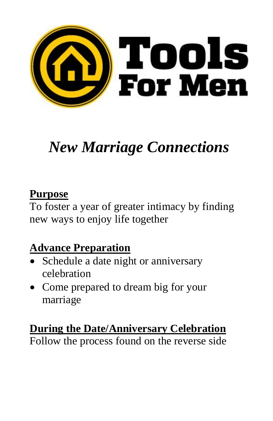

# *New Marriage Connections*

## **Purpose**

To foster a year of greater intimacy by finding new ways to enjoy life together

## **Advance Preparation**

- Schedule a date night or anniversary celebration
- Come prepared to dream big for your marriage

#### **During the Date/Anniversary Celebration** Follow the process found on the reverse side